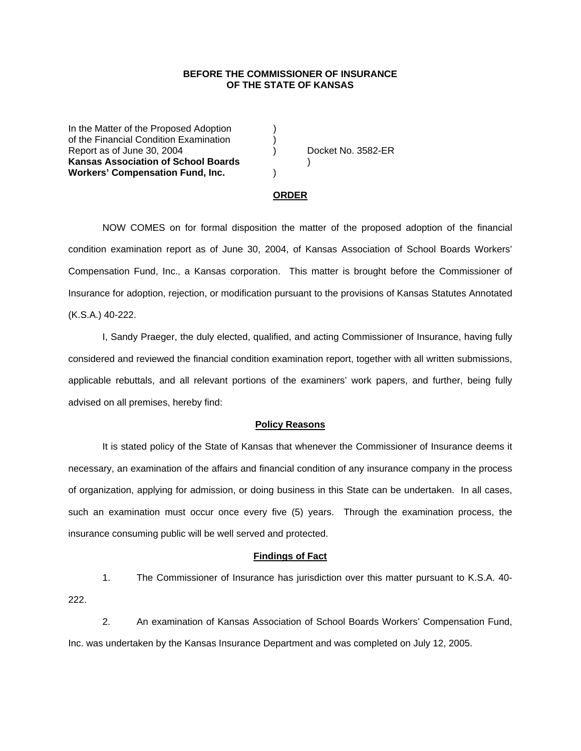# **BEFORE THE COMMISSIONER OF INSURANCE OF THE STATE OF KANSAS**

In the Matter of the Proposed Adoption of the Financial Condition Examination ) Report as of June 30, 2004 (a) (b) Report as of June 30, 2004 **Kansas Association of School Boards** ) **Workers' Compensation Fund, Inc.** )

## **ORDER**

 NOW COMES on for formal disposition the matter of the proposed adoption of the financial condition examination report as of June 30, 2004, of Kansas Association of School Boards Workers' Compensation Fund, Inc., a Kansas corporation. This matter is brought before the Commissioner of Insurance for adoption, rejection, or modification pursuant to the provisions of Kansas Statutes Annotated (K.S.A.) 40-222.

 I, Sandy Praeger, the duly elected, qualified, and acting Commissioner of Insurance, having fully considered and reviewed the financial condition examination report, together with all written submissions, applicable rebuttals, and all relevant portions of the examiners' work papers, and further, being fully advised on all premises, hereby find:

## **Policy Reasons**

 It is stated policy of the State of Kansas that whenever the Commissioner of Insurance deems it necessary, an examination of the affairs and financial condition of any insurance company in the process of organization, applying for admission, or doing business in this State can be undertaken. In all cases, such an examination must occur once every five (5) years. Through the examination process, the insurance consuming public will be well served and protected.

#### **Findings of Fact**

 1. The Commissioner of Insurance has jurisdiction over this matter pursuant to K.S.A. 40- 222.

 2. An examination of Kansas Association of School Boards Workers' Compensation Fund, Inc. was undertaken by the Kansas Insurance Department and was completed on July 12, 2005.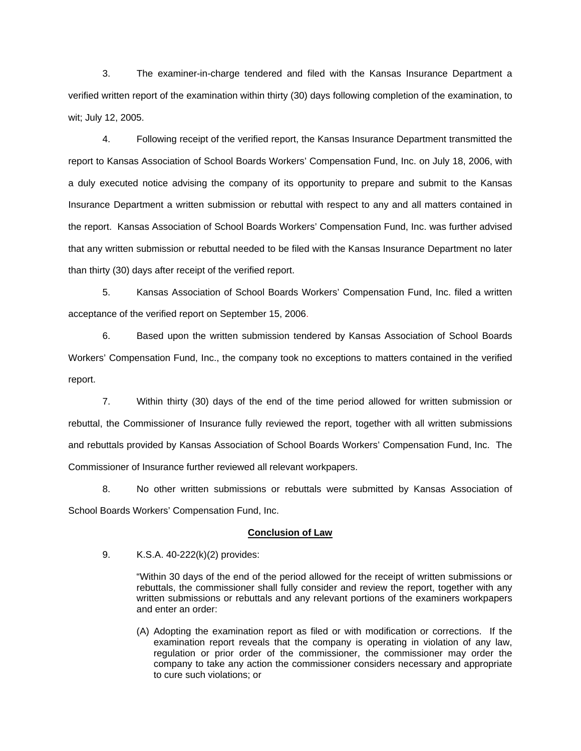3. The examiner-in-charge tendered and filed with the Kansas Insurance Department a verified written report of the examination within thirty (30) days following completion of the examination, to wit; July 12, 2005.

 4. Following receipt of the verified report, the Kansas Insurance Department transmitted the report to Kansas Association of School Boards Workers' Compensation Fund, Inc. on July 18, 2006, with a duly executed notice advising the company of its opportunity to prepare and submit to the Kansas Insurance Department a written submission or rebuttal with respect to any and all matters contained in the report. Kansas Association of School Boards Workers' Compensation Fund, Inc. was further advised that any written submission or rebuttal needed to be filed with the Kansas Insurance Department no later than thirty (30) days after receipt of the verified report.

 5. Kansas Association of School Boards Workers' Compensation Fund, Inc. filed a written acceptance of the verified report on September 15, 2006.

6. Based upon the written submission tendered by Kansas Association of School Boards Workers' Compensation Fund, Inc., the company took no exceptions to matters contained in the verified report.

 7. Within thirty (30) days of the end of the time period allowed for written submission or rebuttal, the Commissioner of Insurance fully reviewed the report, together with all written submissions and rebuttals provided by Kansas Association of School Boards Workers' Compensation Fund, Inc. The Commissioner of Insurance further reviewed all relevant workpapers.

 8. No other written submissions or rebuttals were submitted by Kansas Association of School Boards Workers' Compensation Fund, Inc.

## **Conclusion of Law**

9. K.S.A. 40-222(k)(2) provides:

"Within 30 days of the end of the period allowed for the receipt of written submissions or rebuttals, the commissioner shall fully consider and review the report, together with any written submissions or rebuttals and any relevant portions of the examiners workpapers and enter an order:

(A) Adopting the examination report as filed or with modification or corrections. If the examination report reveals that the company is operating in violation of any law, regulation or prior order of the commissioner, the commissioner may order the company to take any action the commissioner considers necessary and appropriate to cure such violations; or